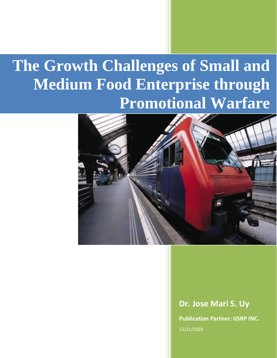# **The Growth Challenges of Small and Medium Food Enterprise through Promotional Warfare**



#### **Dr. Jose Mari S. Uy**

**Publication Partner: IJSRP INC.** 12/21/2020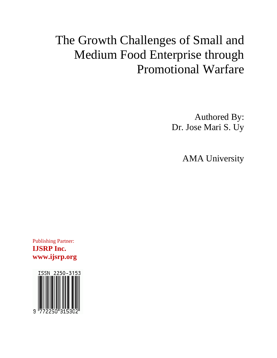## The Growth Challenges of Small and Medium Food Enterprise through Promotional Warfare

Authored By: Dr. Jose Mari S. Uy

AMA University

Publishing Partner: **IJSRP Inc. www.ijsrp.org**

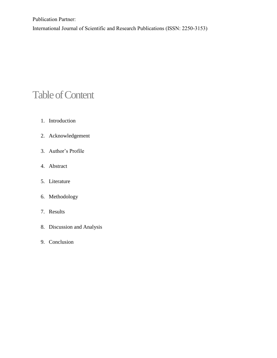Publication Partner: International Journal of Scientific and Research Publications (ISSN: 2250-3153)

### Table of Content

- 1. Introduction
- 2. Acknowledgement
- 3. Author's Profile
- 4. Abstract
- 5. Literature
- 6. Methodology
- 7. Results
- 8. Discussion and Analysis
- 9. Conclusion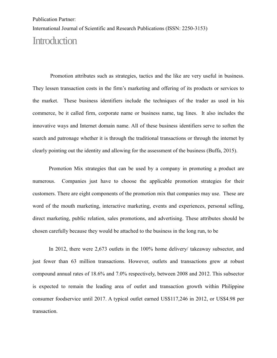International Journal of Scientific and Research Publications (ISSN: 2250-3153)

#### **Introduction**

Promotion attributes such as strategies, tactics and the like are very useful in business. They lessen transaction costs in the firm's marketing and offering of its products or services to the market. These business identifiers include the techniques of the trader as used in his commerce, be it called firm, corporate name or business name, tag lines. It also includes the innovative ways and Internet domain name. All of these business identifiers serve to soften the search and patronage whether it is through the traditional transactions or through the internet by clearly pointing out the identity and allowing for the assessment of the business (Buffa, 2015).

Promotion Mix strategies that can be used by a company in promoting a product are numerous. Companies just have to choose the applicable promotion strategies for their customers. There are eight components of the promotion mix that companies may use. These are word of the mouth marketing, interactive marketing, events and experiences, personal selling, direct marketing, public relation, sales promotions, and advertising. These attributes should be chosen carefully because they would be attached to the business in the long run, to be

In 2012, there were 2,673 outlets in the 100% home delivery/ takeaway subsector, and just fewer than 63 million transactions. However, outlets and transactions grew at robust compound annual rates of 18.6% and 7.0% respectively, between 2008 and 2012. This subsector is expected to remain the leading area of outlet and transaction growth within Philippine consumer foodservice until 2017. A typical outlet earned US\$117,246 in 2012, or US\$4.98 per transaction.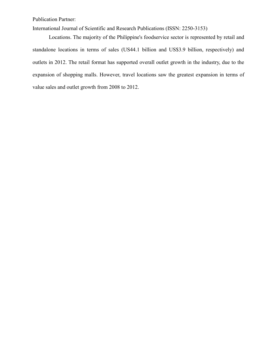International Journal of Scientific and Research Publications (ISSN: 2250-3153)

Locations. The majority of the Philippine's foodservice sector is represented by retail and standalone locations in terms of sales (US44.1 billion and US\$3.9 billion, respectively) and outlets in 2012. The retail format has supported overall outlet growth in the industry, due to the expansion of shopping malls. However, travel locations saw the greatest expansion in terms of value sales and outlet growth from 2008 to 2012.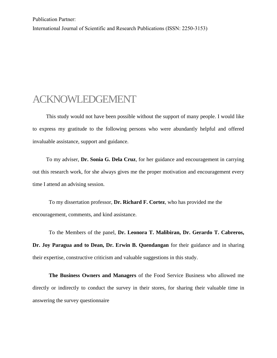International Journal of Scientific and Research Publications (ISSN: 2250-3153)

#### ACKNOWLEDGEMENT

 This study would not have been possible without the support of many people. I would like to express my gratitude to the following persons who were abundantly helpful and offered invaluable assistance, support and guidance.

To my adviser, **Dr. Sonia G. Dela Cruz**, for her guidance and encouragement in carrying out this research work, for she always gives me the proper motivation and encouragement every time I attend an advising session.

 To my dissertation professor, **Dr. Richard F. Cortez**, who has provided me the encouragement, comments, and kind assistance.

 To the Members of the panel, **Dr. Leonora T. Malibiran, Dr. Gerardo T. Cabreros, Dr. Joy Paragua and to Dean, Dr. Erwin B. Quendangan** for their guidance and in sharing their expertise, constructive criticism and valuable suggestions in this study.

 **The Business Owners and Managers** of the Food Service Business who allowed me directly or indirectly to conduct the survey in their stores, for sharing their valuable time in answering the survey questionnaire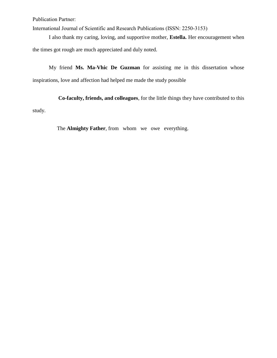International Journal of Scientific and Research Publications (ISSN: 2250-3153)

I also thank my caring, loving, and supportive mother, **Estella.** Her encouragement when the times got rough are much appreciated and duly noted.

My friend **Ms. Ma-Vhic De Guzman** for assisting me in this dissertation whose inspirations, love and affection had helped me made the study possible

 **Co-faculty, friends, and colleagues**, for the little things they have contributed to this study.

The **Almighty Father**, from whom we owe everything.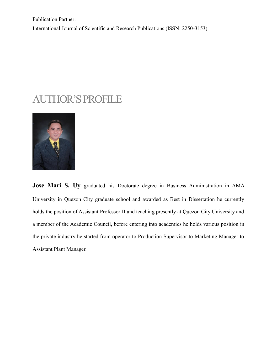Publication Partner: International Journal of Scientific and Research Publications (ISSN: 2250-3153)

#### AUTHOR'S PROFILE



**Jose Mari S. Uy** graduated his Doctorate degree in Business Administration in AMA University in Quezon City graduate school and awarded as Best in Dissertation he currently holds the position of Assistant Professor II and teaching presently at Quezon City University and a member of the Academic Council, before entering into academics he holds various position in the private industry he started from operator to Production Supervisor to Marketing Manager to Assistant Plant Manager.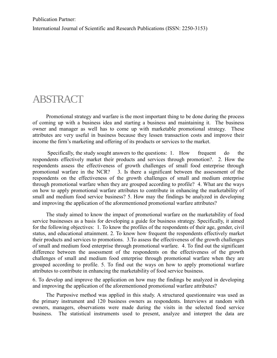International Journal of Scientific and Research Publications (ISSN: 2250-3153)

#### ABSTRACT

 Promotional strategy and warfare is the most important thing to be done during the process of coming up with a business idea and starting a business and maintaining it. The business owner and manager as well has to come up with marketable promotional strategy. These attributes are very useful in business because they lessen transaction costs and improve their income the firm's marketing and offering of its products or services to the market.

 Specifically, the study sought answers to the questions: 1. How frequent do the respondents effectively market their products and services through promotion?. 2. How the respondents assess the effectiveness of growth challenges of small food enterprise through promotional warfare in the NCR? 3. Is there a significant between the assessment of the respondents on the effectiveness of the growth challenges of small and medium enterprise through promotional warfare when they are grouped according to profile? 4. What are the ways on how to apply promotional warfare attributes to contribute in enhancing the marketability of small and medium food service business? 5. How may the findings be analyzed in developing and improving the application of the aforementioned promotional warfare attributes?

 The study aimed to know the impact of promotional warfare on the marketability of food service businesses as a basis for developing a guide for business strategy. Specifically, it aimed for the following objectives: 1. To know the profiles of the respondents of their age, gender, civil status, and educational attainment. 2. To know how frequent the respondents effectively market their products and services to promotions. 3.To assess the effectiveness of the growth challenges of small and medium food enterprise through promotional warfare. 4. To find out the significant difference between the assessment of the respondents on the effectiveness of the growth challenges of small and medium food enterprise through promotional warfare when they are grouped according to profile. 5. To find out the ways on how to apply promotional warfare attributes to contribute in enhancing the marketability of food service business.

6. To develop and improve the application on how may the findings be analyzed in developing and improving the application of the aforementioned promotional warfare attributes?

 The Purposive method was applied in this study. A structured questionnaire was used as the primary instrument and 120 business owners as respondents. Interviews at random with owners, managers, observations were made during the visits in the selected food service business. The statistical instruments used to present, analyze and interpret the data are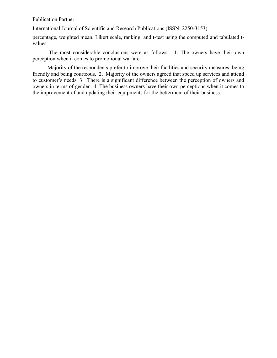International Journal of Scientific and Research Publications (ISSN: 2250-3153)

percentage, weighted mean, Likert scale, ranking, and t-test using the computed and tabulated tvalues.

 The most considerable conclusions were as follows: 1. The owners have their own perception when it comes to promotional warfare.

 Majority of the respondents prefer to improve their facilities and security measures, being friendly and being courteous. 2. Majority of the owners agreed that speed up services and attend to customer's needs. 3. There is a significant difference between the perception of owners and owners in terms of gender. 4. The business owners have their own perceptions when it comes to the improvement of and updating their equipments for the betterment of their business.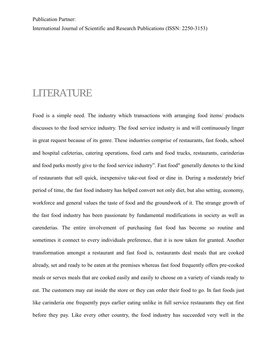International Journal of Scientific and Research Publications (ISSN: 2250-3153)

#### LITERATURE

Food is a simple need. The industry which transactions with arranging food items/ products discusses to the food service industry. The food service industry is and will continuously linger in great request because of its genre. These industries comprise of restaurants, fast foods, school and hospital cafeterias, catering operations, food carts and food trucks, restaurants, carinderias and food parks mostly give to the food service industry". Fast food" generally denotes to the kind of restaurants that sell quick, inexpensive take-out food or dine in. During a moderately brief period of time, the fast food industry has helped convert not only diet, but also setting, economy, workforce and general values the taste of food and the groundwork of it. The strange growth of the fast food industry has been passionate by fundamental modifications in society as well as carenderias. The entire involvement of purchasing fast food has become so routine and sometimes it connect to every individuals preference, that it is now taken for granted. Another transformation amongst a restaurant and fast food is, restaurants deal meals that are cooked already, set and ready to be eaten at the premises whereas fast food frequently offers pre-cooked meals or serves meals that are cooked easily and easily to choose on a variety of viands ready to eat. The customers may eat inside the store or they can order their food to go. In fast foods just like carinderia one frequently pays earlier eating unlike in full service restaurants they eat first before they pay. Like every other country, the food industry has succeeded very well in the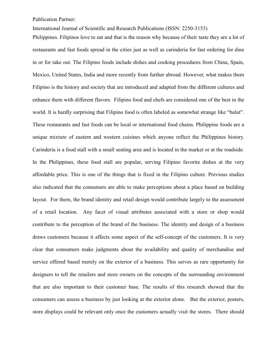International Journal of Scientific and Research Publications (ISSN: 2250-3153)

Philippines. Filipinos love to eat and that is the reason why because of their taste they are a lot of restaurants and fast foods spread in the cities just as well as carinderia for fast ordering for dine in or for take out. The Filipino foods include dishes and cooking procedures from China, Spain, Mexico, United States, India and more recently from further abroad. However, what makes them Filipino is the history and society that are introduced and adapted from the different cultures and enhance them with different flavors. Filipino food and chefs are considered one of the best in the world. It is hardly surprising that Filipino food is often labeled as somewhat strange like "balut". These restaurants and fast foods can be local or international food chains. Philippine foods are a unique mixture of eastern and western cuisines which anyone reflect the Philippines history. Carinderia is a food stall with a small seating area and is located in the market or at the roadside. In the Philippines, these food stall are popular, serving Filipino favorite dishes at the very affordable price. This is one of the things that is fixed in the Filipino culture. Previous studies also indicated that the consumers are able to make perceptions about a place based on building layout. For them, the brand identity and retail design would contribute largely to the assessment of a retail location. Any facet of visual attributes associated with a store or shop would contribute to the perception of the brand of the business. The identity and design of a business draws customers because it affects some aspect of the self-concept of the customers. It is very clear that consumers make judgments about the availability and quality of merchandise and service offered based merely on the exterior of a business. This serves as rare opportunity for designers to tell the retailers and store owners on the concepts of the surrounding environment that are also important to their customer base. The results of this research showed that the consumers can assess a business by just looking at the exterior alone. But the exterior, posters, store displays could be relevant only once the customers actually visit the stores. There should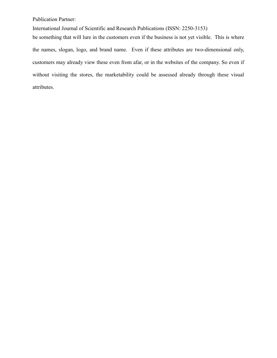International Journal of Scientific and Research Publications (ISSN: 2250-3153)

be something that will lure in the customers even if the business is not yet visible. This is where the names, slogan, logo, and brand name. Even if these attributes are two-dimensional only, customers may already view these even from afar, or in the websites of the company. So even if without visiting the stores, the marketability could be assessed already through these visual attributes.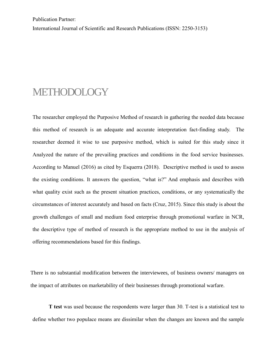International Journal of Scientific and Research Publications (ISSN: 2250-3153)

#### METHODOLOGY

The researcher employed the Purposive Method of research in gathering the needed data because this method of research is an adequate and accurate interpretation fact-finding study. The researcher deemed it wise to use purposive method, which is suited for this study since it Analyzed the nature of the prevailing practices and conditions in the food service businesses. According to Manuel (2016) as cited by Esquerra (2018). Descriptive method is used to assess the existing conditions. It answers the question, "what is?" And emphasis and describes with what quality exist such as the present situation practices, conditions, or any systematically the circumstances of interest accurately and based on facts (Cruz, 2015). Since this study is about the growth challenges of small and medium food enterprise through promotional warfare in NCR, the descriptive type of method of research is the appropriate method to use in the analysis of offering recommendations based for this findings.

There is no substantial modification between the interviewees, of business owners/ managers on the impact of attributes on marketability of their businesses through promotional warfare.

 **T test** was used because the respondents were larger than 30. T-test is a statistical test to define whether two populace means are dissimilar when the changes are known and the sample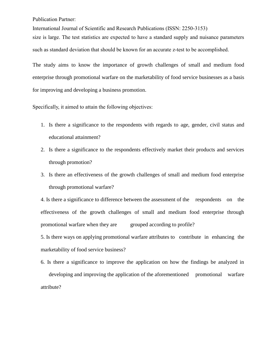International Journal of Scientific and Research Publications (ISSN: 2250-3153)

size is large. The test statistics are expected to have a standard supply and nuisance parameters such as standard deviation that should be known for an accurate z-test to be accomplished.

The study aims to know the importance of growth challenges of small and medium food enterprise through promotional warfare on the marketability of food service businesses as a basis for improving and developing a business promotion.

Specifically, it aimed to attain the following objectives:

- 1. Is there a significance to the respondents with regards to age, gender, civil status and educational attainment?
- 2. Is there a significance to the respondents effectively market their products and services through promotion?
- 3. Is there an effectiveness of the growth challenges of small and medium food enterprise through promotional warfare?

4. Is there a significance to difference between the assessment of the respondents on the effectiveness of the growth challenges of small and medium food enterprise through promotional warfare when they are grouped according to profile?

5. Is there ways on applying promotional warfare attributes to contribute in enhancing the marketability of food service business?

6. Is there a significance to improve the application on how the findings be analyzed in developing and improving the application of the aforementioned promotional warfare attribute?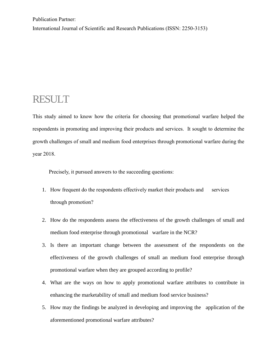International Journal of Scientific and Research Publications (ISSN: 2250-3153)

#### RESULT

This study aimed to know how the criteria for choosing that promotional warfare helped the respondents in promoting and improving their products and services. It sought to determine the growth challenges of small and medium food enterprises through promotional warfare during the year 2018.

Precisely, it pursued answers to the succeeding questions:

- 1. How frequent do the respondents effectively market their products and services through promotion?
- 2. How do the respondents assess the effectiveness of the growth challenges of small and medium food enterprise through promotional warfare in the NCR?
- 3. Is there an important change between the assessment of the respondents on the effectiveness of the growth challenges of small an medium food enterprise through promotional warfare when they are grouped according to profile?
- 4. What are the ways on how to apply promotional warfare attributes to contribute in enhancing the marketability of small and medium food service business?
- 5. How may the findings be analyzed in developing and improving the application of the aforementioned promotional warfare attributes?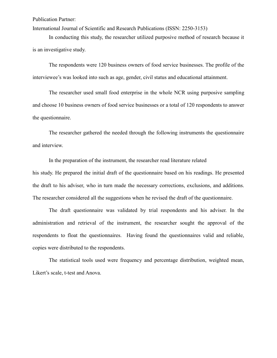International Journal of Scientific and Research Publications (ISSN: 2250-3153)

In conducting this study, the researcher utilized purposive method of research because it is an investigative study.

The respondents were 120 business owners of food service businesses. The profile of the interviewee's was looked into such as age, gender, civil status and educational attainment.

The researcher used small food enterprise in the whole NCR using purposive sampling and choose 10 business owners of food service businesses or a total of 120 respondents to answer the questionnaire.

The researcher gathered the needed through the following instruments the questionnaire and interview.

In the preparation of the instrument, the researcher read literature related his study. He prepared the initial draft of the questionnaire based on his readings. He presented the draft to his adviser, who in turn made the necessary corrections, exclusions, and additions. The researcher considered all the suggestions when he revised the draft of the questionnaire.

The draft questionnaire was validated by trial respondents and his adviser. In the administration and retrieval of the instrument, the researcher sought the approval of the respondents to float the questionnaires. Having found the questionnaires valid and reliable, copies were distributed to the respondents.

The statistical tools used were frequency and percentage distribution, weighted mean, Likert's scale, t-test and Anova.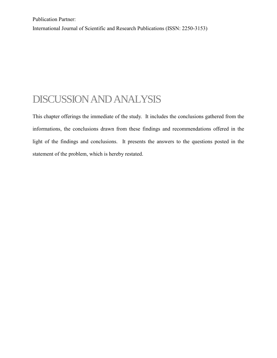International Journal of Scientific and Research Publications (ISSN: 2250-3153)

### DISCUSSION AND ANALYSIS

This chapter offerings the immediate of the study. It includes the conclusions gathered from the informations, the conclusions drawn from these findings and recommendations offered in the light of the findings and conclusions. It presents the answers to the questions posted in the statement of the problem, which is hereby restated.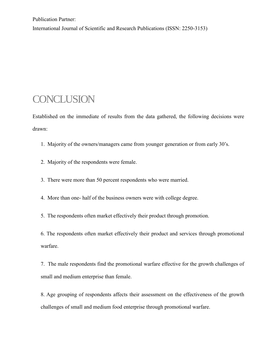International Journal of Scientific and Research Publications (ISSN: 2250-3153)

#### **CONCLUSION**

Established on the immediate of results from the data gathered, the following decisions were drawn:

- 1. Majority of the owners/managers came from younger generation or from early 30's.
- 2. Majority of the respondents were female.
- 3. There were more than 50 percent respondents who were married.
- 4. More than one- half of the business owners were with college degree.

5. The respondents often market effectively their product through promotion.

6. The respondents often market effectively their product and services through promotional warfare.

7. The male respondents find the promotional warfare effective for the growth challenges of small and medium enterprise than female.

8. Age grouping of respondents affects their assessment on the effectiveness of the growth challenges of small and medium food enterprise through promotional warfare.